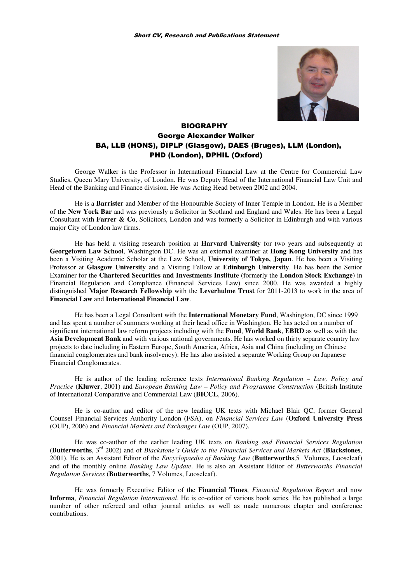

# **BIOGRAPHY** George Alexander Walker BA, LLB (HONS), DIPLP (Glasgow), DAES (Bruges), LLM (London), PHD (London), DPHIL (Oxford)

George Walker is the Professor in International Financial Law at the Centre for Commercial Law Studies, Queen Mary University, of London. He was Deputy Head of the International Financial Law Unit and Head of the Banking and Finance division. He was Acting Head between 2002 and 2004.

He is a **Barrister** and Member of the Honourable Society of Inner Temple in London. He is a Member of the **New York Bar** and was previously a Solicitor in Scotland and England and Wales. He has been a Legal Consultant with **Farrer & Co**, Solicitors, London and was formerly a Solicitor in Edinburgh and with various major City of London law firms.

He has held a visiting research position at **Harvard University** for two years and subsequently at **Georgetown Law School**, Washington DC. He was an external examiner at **Hong Kong University** and has been a Visiting Academic Scholar at the Law School, **University of Tokyo, Japan**. He has been a Visiting Professor at **Glasgow University** and a Visiting Fellow at **Edinburgh University**. He has been the Senior Examiner for the **Chartered Securities and Investments Institute** (formerly the **London Stock Exchange**) in Financial Regulation and Compliance (Financial Services Law) since 2000. He was awarded a highly distinguished **Major Research Fellowship** with the **Leverhulme Trust** for 2011-2013 to work in the area of **Financial Law** and **International Financial Law**.

He has been a Legal Consultant with the **International Monetary Fund**, Washington, DC since 1999 and has spent a number of summers working at their head office in Washington. He has acted on a number of significant international law reform projects including with the **Fund**, **World Bank**, **EBRD** as well as with the **Asia Development Bank** and with various national governments. He has worked on thirty separate country law projects to date including in Eastern Europe, South America, Africa, Asia and China (including on Chinese financial conglomerates and bank insolvency). He has also assisted a separate Working Group on Japanese Financial Conglomerates.

He is author of the leading reference texts *International Banking Regulation – Law, Policy and Practice* (**Kluwer**, 2001) and *European Banking Law – Policy and Programme Construction* (British Institute of International Comparative and Commercial Law (**BICCL**, 2006).

He is co-author and editor of the new leading UK texts with Michael Blair QC, former General Counsel Financial Services Authority London (FSA), on *Financial Services Law* (**Oxford University Press** (OUP), 2006) and *Financial Markets and Exchanges Law* (OUP, 2007).

He was co-author of the earlier leading UK texts on *Banking and Financial Services Regulation*  (**Butterworths**, 3rd 2002) and of *Blackstone's Guide to the Financial Services and Markets Act* (**Blackstones**, 2001). He is an Assistant Editor of the *Encyclopaedia of Banking Law* (**Butterworths**,5 Volumes, Looseleaf) and of the monthly online *Banking Law Update*. He is also an Assistant Editor of *Butterworths Financial Regulation Services* (**Butterworths**, 7 Volumes, Looseleaf).

He was formerly Executive Editor of the **Financial Times**, *Financial Regulation Report* and now **Informa**, *Financial Regulation International*. He is co-editor of various book series. He has published a large number of other refereed and other journal articles as well as made numerous chapter and conference contributions.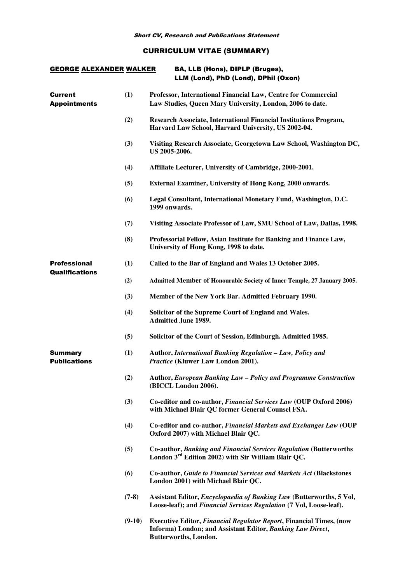# CURRICULUM VITAE (SUMMARY)

| <b>GEORGE ALEXANDER WALKER</b>               |          | BA, LLB (Hons), DIPLP (Bruges),<br>LLM (Lond), PhD (Lond), DPhil (Oxon)                                                                                           |
|----------------------------------------------|----------|-------------------------------------------------------------------------------------------------------------------------------------------------------------------|
| <b>Current</b><br><b>Appointments</b>        | (1)      | Professor, International Financial Law, Centre for Commercial<br>Law Studies, Queen Mary University, London, 2006 to date.                                        |
|                                              | (2)      | Research Associate, International Financial Institutions Program,<br>Harvard Law School, Harvard University, US 2002-04.                                          |
|                                              | (3)      | Visiting Research Associate, Georgetown Law School, Washington DC,<br>US 2005-2006.                                                                               |
|                                              | (4)      | Affiliate Lecturer, University of Cambridge, 2000-2001.                                                                                                           |
|                                              | (5)      | External Examiner, University of Hong Kong, 2000 onwards.                                                                                                         |
|                                              | (6)      | Legal Consultant, International Monetary Fund, Washington, D.C.<br>1999 onwards.                                                                                  |
|                                              | (7)      | Visiting Associate Professor of Law, SMU School of Law, Dallas, 1998.                                                                                             |
|                                              | (8)      | Professorial Fellow, Asian Institute for Banking and Finance Law,<br>University of Hong Kong, 1998 to date.                                                       |
| <b>Professional</b><br><b>Qualifications</b> | (1)      | Called to the Bar of England and Wales 13 October 2005.                                                                                                           |
|                                              | (2)      | Admitted Member of Honourable Society of Inner Temple, 27 January 2005.                                                                                           |
|                                              | (3)      | Member of the New York Bar. Admitted February 1990.                                                                                                               |
|                                              | (4)      | Solicitor of the Supreme Court of England and Wales.<br><b>Admitted June 1989.</b>                                                                                |
|                                              | (5)      | Solicitor of the Court of Session, Edinburgh. Admitted 1985.                                                                                                      |
| <b>Summary</b><br><b>Publications</b>        | (1)      | Author, International Banking Regulation - Law, Policy and<br>Practice (Kluwer Law London 2001).                                                                  |
|                                              | (2)      | Author, European Banking Law - Policy and Programme Construction<br>(BICCL London 2006).                                                                          |
|                                              | (3)      | Co-editor and co-author, Financial Services Law (OUP Oxford 2006)<br>with Michael Blair QC former General Counsel FSA.                                            |
|                                              | (4)      | Co-editor and co-author, Financial Markets and Exchanges Law (OUP<br>Oxford 2007) with Michael Blair QC.                                                          |
|                                              | (5)      | Co-author, Banking and Financial Services Regulation (Butterworths<br>London 3 <sup>rd</sup> Edition 2002) with Sir William Blair QC.                             |
|                                              | (6)      | Co-author, Guide to Financial Services and Markets Act (Blackstones<br>London 2001) with Michael Blair QC.                                                        |
|                                              | $(7-8)$  | Assistant Editor, <i>Encyclopaedia of Banking Law</i> (Butterworths, 5 Vol,<br>Loose-leaf); and Financial Services Regulation (7 Vol, Loose-leaf).                |
|                                              | $(9-10)$ | <b>Executive Editor, Financial Regulator Report, Financial Times, (now</b><br>Informa) London; and Assistant Editor, Banking Law Direct,<br>Butterworths, London. |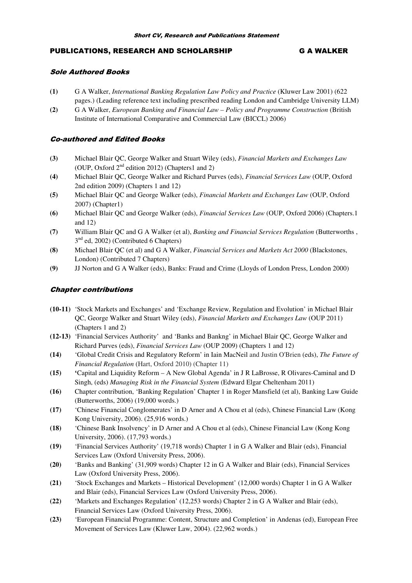## PUBLICATIONS, RESEARCH AND SCHOLARSHIP G A WALKER

## Sole Authored Books

- **(1)** G A Walker, *International Banking Regulation Law Policy and Practice* (Kluwer Law 2001) (622 pages.) (Leading reference text including prescribed reading London and Cambridge University LLM)
- **(2)** G A Walker, *European Banking and Financial Law Policy and Programme Construction* (British Institute of International Comparative and Commercial Law (BICCL) 2006)

## Co-authored and Edited Books

- **(3)** Michael Blair QC, George Walker and Stuart Wiley (eds), *Financial Markets and Exchanges Law* (OUP, Oxford  $2<sup>nd</sup>$  edition 2012) (Chapters1 and 2)
- **(4)** Michael Blair QC, George Walker and Richard Purves (eds), *Financial Services Law* (OUP, Oxford 2nd edition 2009) (Chapters 1 and 12)
- **(5)** Michael Blair QC and George Walker (eds), *Financial Markets and Exchanges Law* (OUP, Oxford 2007) (Chapter1)
- **(6)** Michael Blair QC and George Walker (eds), *Financial Services Law* (OUP, Oxford 2006) (Chapters.1 and 12)
- **(7)** William Blair QC and G A Walker (et al), *Banking and Financial Services Regulation* (Butterworths , 3<sup>nd</sup> ed, 2002) (Contributed 6 Chapters)
- **(8)** Michael Blair QC (et al) and G A Walker, *Financial Services and Markets Act 2000* (Blackstones, London) (Contributed 7 Chapters)
- **(9)** JJ Norton and G A Walker (eds), Banks: Fraud and Crime (Lloyds of London Press, London 2000)

## Chapter contributions

- **(10-11)** 'Stock Markets and Exchanges' and 'Exchange Review, Regulation and Evolution' in Michael Blair QC, George Walker and Stuart Wiley (eds), *Financial Markets and Exchanges Law* (OUP 2011) (Chapters 1 and 2)
- **(12-13)** 'Financial Services Authority' and 'Banks and Bankng' in Michael Blair QC, George Walker and Richard Purves (eds), *Financial Services Law* (OUP 2009) (Chapters 1 and 12)
- **(14)** 'Global Credit Crisis and Regulatory Reform' in Iain MacNeil and Justin O'Brien (eds), *The Future of Financial Regulation* (Hart, Oxford 2010) (Chapter 11)
- **(15) '**Capital and Liquidity Reform A New Global Agenda' in J R LaBrosse, R Olivares-Caminal and D Singh, (eds) *Managing Risk in the Financial System* (Edward Elgar Cheltenham 2011)
- **(16)** Chapter contribution, 'Banking Regulation' Chapter 1 in Roger Mansfield (et al), Banking Law Guide (Butterworths, 2006) (19,000 words.)
- **(17)** 'Chinese Financial Conglomerates' in D Arner and A Chou et al (eds), Chinese Financial Law (Kong Kong University, 2006). (25,916 words.)
- **(18)** 'Chinese Bank Insolvency' in D Arner and A Chou et al (eds), Chinese Financial Law (Kong Kong University, 2006). (17,793 words.)
- **(19)** 'Financial Services Authority' (19,718 words) Chapter 1 in G A Walker and Blair (eds), Financial Services Law (Oxford University Press, 2006).
- **(20)** 'Banks and Banking' (31,909 words) Chapter 12 in G A Walker and Blair (eds), Financial Services Law (Oxford University Press, 2006).
- **(21)** 'Stock Exchanges and Markets Historical Development' (12,000 words) Chapter 1 in G A Walker and Blair (eds), Financial Services Law (Oxford University Press, 2006).
- **(22)** 'Markets and Exchanges Regulation' (12,253 words) Chapter 2 in G A Walker and Blair (eds), Financial Services Law (Oxford University Press, 2006).
- **(23)** 'European Financial Programme: Content, Structure and Completion' in Andenas (ed), European Free Movement of Services Law (Kluwer Law, 2004). (22,962 words.)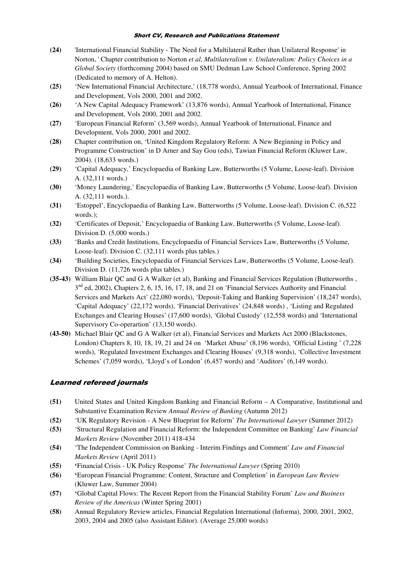- **(24)** 'International Financial Stability The Need for a Multilateral Rather than Unilateral Response' in Norton, ' Chapter contribution to Norton *et al*, *Multilateralism v. Unilateralism: Policy Choices in a Global Society* (forthcoming 2004) based on SMU Dedman Law School Conference, Spring 2002 (Dedicated to memory of A. Helton).
- **(25)** 'New International Financial Architecture,' (18,778 words), Annual Yearbook of International, Finance and Development, Vols 2000, 2001 and 2002.
- **(26)** 'A New Capital Adequacy Framework' (13,876 words), Annual Yearbook of International, Finance and Development, Vols 2000, 2001 and 2002.
- **(27)** 'European Financial Reform' (3,569 words), Annual Yearbook of International, Finance and Development, Vols 2000, 2001 and 2002.
- **(28)** Chapter contribution on, 'United Kingdom Regulatory Reform: A New Beginning in Policy and Programme Construction' in D Arner and Say Gou (eds), Tawian Financial Reform (Kluwer Law, 2004). (18,633 words.)
- **(29)** 'Capital Adequacy,' Encyclopaedia of Banking Law, Butterworths (5 Volume, Loose-leaf). Division A. (32,111 words.)
- **(30)** 'Money Laundering,' Encyclopaedia of Banking Law, Butterworths (5 Volume, Loose-leaf). Division A. (32,111 words.).
- **(31)** 'Estoppel', Encyclopaedia of Banking Law, Butterworths (5 Volume, Loose-leaf). Division C. (6,522 words.);
- **(32)** 'Certificates of Deposit,' Encyclopaedia of Banking Law, Butterworths (5 Volume, Loose-leaf). Division D. (5,000 words.)
- **(33)** 'Banks and Credit Institutions, Encyclopaedia of Financial Services Law, Butterworths (5 Volume, Loose-leaf). Division C. (32,111 words plus tables.)
- **(34)** 'Building Societies, Encyclopaedia of Financial Services Law, Butterworths (5 Volume, Loose-leaf). Division D. (11,726 words plus tables.)
- **(35-43)** William Blair QC and G A Walker (et al), Banking and Financial Services Regulation (Butterworths , 3<sup>nd</sup> ed, 2002), Chapters 2, 6, 15, 16, 17, 18, and 21 on 'Financial Services Authority and Financial Services and Markets Act' (22,080 words), 'Deposit-Taking and Banking Supervision' (18,247 words), 'Capital Adequacy' (22,172 words), 'Financial Derivatives' (24,848 words) , 'Listing and Regulated Exchanges and Clearing Houses' (17,600 words), 'Global Custody' (12,558 words) and 'International Supervisory Co-operartion' (13,150 words).
- **(43-50)** Michael Blair QC and G A Walker (et al), Financial Services and Markets Act 2000 (Blackstones, London) Chapters 8, 10, 18, 19, 21 and 24 on 'Market Abuse' (8,196 words), 'Official Listing ' (7,228 words), 'Regulated Investment Exchanges and Clearing Houses' (9,318 words), 'Collective Investment Schemes' (7,059 words), 'Lloyd's of London' (6,457 words) and 'Auditors' (6,149 words).

## Learned refereed journals

- **(51)** United States and United Kingdom Banking and Financial Reform A Comparative, Institutional and Substantive Examination Review *Annual Review of Banking* (Autumn 2012)
- **(52)** 'UK Regulatory Revision A New Blueprint for Reform' *The International Lawyer* (Summer 2012)
- **(53)** 'Structural Regulation and Financial Reform: the Independent Committee on Banking' *Law Financial Markets Review* (November 2011) 418-434
- **(54)** 'The Independent Commission on Banking Interim Findings and Comment' *Law and Financial Markets Review* (April 2011)
- **(55) '**Financial Crisis UK Policy Response' *The International Lawyer* (Spring 2010)
- **(56) '**European Financial Programme: Content, Structure and Completion' in *European Law Review*  (Kluwer Law, Summer 2004)
- **(57) '**Global Capital Flows: The Recent Report from the Financial Stability Forum' *Law and Business Review of the Americas* (Winter Spring 2001)
- **(58)** Annual Regulatory Review articles, Financial Regulation International (Informa), 2000, 2001, 2002, 2003, 2004 and 2005 (also Assistant Editor). (Average 25,000 words)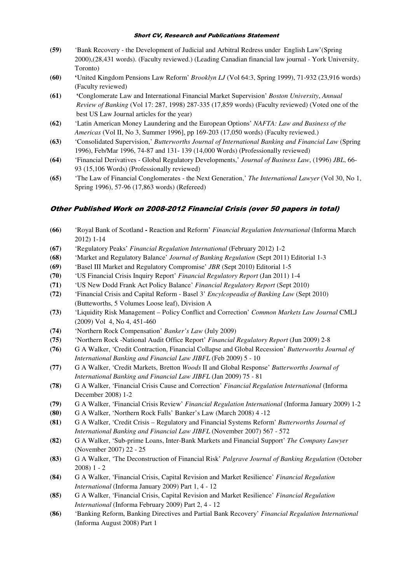- **(59)** 'Bank Recovery the Development of Judicial and Arbitral Redress under English Law'(Spring 2000),(28,431 words). (Faculty reviewed.) (Leading Canadian financial law journal - York University, Toronto)
- **(60) '**United Kingdom Pensions Law Reform' *Brooklyn LJ* (Vol 64:3, Spring 1999), 71-932 (23,916 words) (Faculty reviewed)
- **(61) '**Conglomerate Law and International Financial Market Supervision' *Boston University*, *Annual Review of Banking* (Vol 17: 287, 1998) 287-335 (17,859 words) (Faculty reviewed) (Voted one of the best US Law Journal articles for the year)
- **(62)** 'Latin American Money Laundering and the European Options' *NAFTA: Law and Business of the Americas* (Vol II, No 3, Summer 1996], pp 169-203 (17,050 words) (Faculty reviewed.)
- **(63)** 'Consolidated Supervision,' *Butterworths Journal of International Banking and Financial Law* (Spring 1996), Feb/Mar 1996, 74-87 and 131- 139 (14,000 Words) (Professionally reviewed)
- **(64)** 'Financial Derivatives Global Regulatory Developments,' *Journal of Business Law*, (1996) *JBL*, 66- 93 (15,106 Words) (Professionally reviewed)
- **(65)** 'The Law of Financial Conglomerates the Next Generation,' *The International Lawyer* (Vol 30, No 1, Spring 1996), 57-96 (17,863 words) (Refereed)

## Other Published Work on 2008-2012 Financial Crisis (over 50 papers in total)

- **(66)** 'Royal Bank of Scotland Reaction and Reform' *Financial Regulation International* (Informa March 2012) 1-14
- **(67)** 'Regulatory Peaks' *Financial Regulation International* (February 2012) 1-2
- **(68)** 'Market and Regulatory Balance' *Journal of Banking Regulation* (Sept 2011) Editorial 1-3
- **(69)** 'Basel III Market and Regulatory Compromise' *JBR* (Sept 2010) Editorial 1-5
- **(70)** 'US Financial Crisis Inquiry Report' *Financial Regulatory Report* (Jan 2011) 1-4
- **(71)** 'US New Dodd Frank Act Policy Balance' *Financial Regulatory Report* (Sept 2010)
- **(72)** 'Financial Crisis and Capital Reform Basel 3' *Encylcopeadia of Banking Law* (Sept 2010) (Butteworths, 5 Volumes Loose leaf), Division A
- **(73)** 'Liquidity Risk Management Policy Conflict and Correction' *Common Markets Law Journal* CMLJ (2009) Vol 4, No 4, 451-460
- **(74)** 'Northern Rock Compensation' *Banker's Law* (July 2009)
- **(75)** 'Northern Rock -National Audit Office Report' *Financial Regulatory Report* (Jun 2009) 2-8
- **(76)** G A Walker, 'Credit Contraction, Financial Collapse and Global Recession' *Butterworths Journal of International Banking and Financial Law JIBFL* (Feb 2009) 5 - 10
- **(77)** G A Walker, 'Credit Markets, Bretton *Woods* II and Global Response' *Butterworths Journal of International Banking and Financial Law JIBFL* (Jan 2009) 75 - 81
- **(78)** G A Walker, 'Financial Crisis Cause and Correction' *Financial Regulation International* (Informa December 2008) 1-2
- **(79)** G A Walker, 'Financial Crisis Review' *Financial Regulation International* (Informa January 2009) 1-2
- **(80)** G A Walker, 'Northern Rock Falls' Banker's Law (March 2008) 4 -12
- **(81)** G A Walker, 'Credit Crisis Regulatory and Financial Systems Reform' *Butterworths Journal of International Banking and Financial Law JIBFL* (November 2007) 567 - 572
- **(82)** G A Walker, 'Sub-prime Loans, Inter-Bank Markets and Financial Support' *The Company Lawyer*  (November 2007) 22 - 25
- **(83)** G A Walker, 'The Deconstruction of Financial Risk' *Palgrave Journal of Banking Regulation* (October  $2008$ ) 1 - 2
- **(84)** G A Walker, 'Financial Crisis, Capital Revision and Market Resilience' *Financial Regulation International* (Informa January 2009) Part 1, 4 - 12
- **(85)** G A Walker, 'Financial Crisis, Capital Revision and Market Resilience' *Financial Regulation International* (Informa February 2009) Part 2, 4 - 12
- **(86)** 'Banking Reform, Banking Directives and Partial Bank Recovery' *Financial Regulation International* (Informa August 2008) Part 1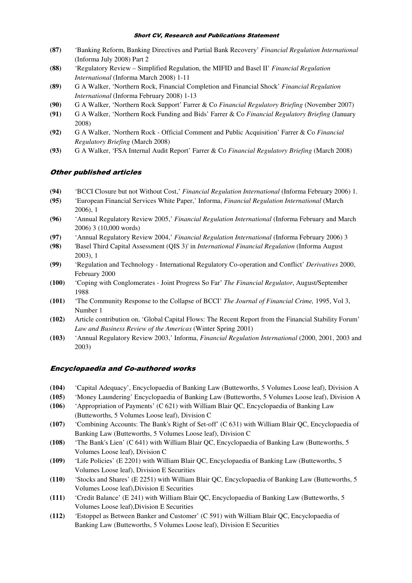- **(87)** 'Banking Reform, Banking Directives and Partial Bank Recovery' *Financial Regulation International* (Informa July 2008) Part 2
- **(88)** 'Regulatory Review Simplified Regulation, the MIFID and Basel II' *Financial Regulation International* (Informa March 2008) 1-11
- **(89)** G A Walker, 'Northern Rock, Financial Completion and Financial Shock' *Financial Regulation International* (Informa February 2008) 1-13
- **(90)** G A Walker, 'Northern Rock Support' Farrer & Co *Financial Regulatory Briefing* (November 2007)
- **(91)** G A Walker, 'Northern Rock Funding and Bids' Farrer & Co *Financial Regulatory Briefing* (January 2008)
- **(92)** G A Walker, 'Northern Rock Official Comment and Public Acquisition' Farrer & Co *Financial Regulatory Briefing* (March 2008)
- **(93)** G A Walker, 'FSA Internal Audit Report' Farrer & Co *Financial Regulatory Briefing* (March 2008)

## Other published articles

- **(94)** 'BCCI Closure but not Without Cost,' *Financial Regulation International* (Informa February 2006) 1.
- **(95)** 'European Financial Services White Paper,' Informa, *Financial Regulation International* (March 2006), 1
- **(96)** 'Annual Regulatory Review 2005,' *Financial Regulation International* (Informa February and March 2006) 3 (10,000 words)
- **(97)** 'Annual Regulatory Review 2004,' *Financial Regulation International* (Informa February 2006) 3
- **(98)** 'Basel Third Capital Assessment (QIS 3)' in *International Financial Regulation* (Informa August 2003), 1
- **(99)** 'Regulation and Technology International Regulatory Co-operation and Conflict' *Derivatives* 2000, February 2000
- **(100)** 'Coping with Conglomerates Joint Progress So Far' *The Financial Regulator*, August/September 1988
- **(101)** 'The Community Response to the Collapse of BCCI' *The Journal of Financial Crime,* 1995, Vol 3, Number 1
- **(102)** Article contribution on, 'Global Capital Flows: The Recent Report from the Financial Stability Forum' *Law and Business Review of the Americas* (Winter Spring 2001)
- **(103)** 'Annual Regulatory Review 2003,' Informa, *Financial Regulation International* (2000, 2001, 2003 and 2003)

### Encyclopaedia and Co-authored works

- **(104)** 'Capital Adequacy', Encyclopaedia of Banking Law (Butteworths, 5 Volumes Loose leaf), Division A
- **(105)** 'Money Laundering' Encyclopaedia of Banking Law (Butteworths, 5 Volumes Loose leaf), Division A
- **(106)** 'Appropriation of Payments' (C 621) with William Blair QC, Encyclopaedia of Banking Law (Butteworths, 5 Volumes Loose leaf), Division C
- **(107)** 'Combining Accounts: The Bank's Right of Set-off' (C 631) with William Blair QC, Encyclopaedia of Banking Law (Butteworths, 5 Volumes Loose leaf), Division C
- **(108)** 'The Bank's Lien' (C 641) with William Blair QC, Encyclopaedia of Banking Law (Butteworths, 5 Volumes Loose leaf), Division C
- **(109)** 'Life Policies' (E 2201) with William Blair QC, Encyclopaedia of Banking Law (Butteworths, 5 Volumes Loose leaf), Division E Securities
- **(110)** 'Stocks and Shares' (E 2251) with William Blair QC, Encyclopaedia of Banking Law (Butteworths, 5 Volumes Loose leaf),Division E Securities
- **(111)** 'Credit Balance' (E 241) with William Blair QC, Encyclopaedia of Banking Law (Butteworths, 5 Volumes Loose leaf),Division E Securities
- **(112)** 'Estoppel as Between Banker and Customer' (C 591) with William Blair QC, Encyclopaedia of Banking Law (Butteworths, 5 Volumes Loose leaf), Division E Securities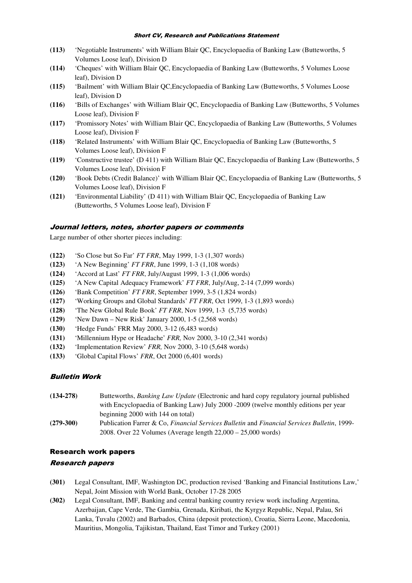- **(113)** 'Negotiable Instruments' with William Blair QC, Encyclopaedia of Banking Law (Butteworths, 5 Volumes Loose leaf), Division D
- **(114)** 'Cheques' with William Blair QC, Encyclopaedia of Banking Law (Butteworths, 5 Volumes Loose leaf), Division D
- **(115)** 'Bailment' with William Blair QC,Encyclopaedia of Banking Law (Butteworths, 5 Volumes Loose leaf), Division D
- **(116)** 'Bills of Exchanges' with William Blair QC, Encyclopaedia of Banking Law (Butteworths, 5 Volumes Loose leaf), Division F
- **(117)** 'Promissory Notes' with William Blair QC, Encyclopaedia of Banking Law (Butteworths, 5 Volumes Loose leaf), Division F
- **(118)** 'Related Instruments' with William Blair QC, Encyclopaedia of Banking Law (Butteworths, 5 Volumes Loose leaf), Division F
- **(119)** 'Constructive trustee' (D 411) with William Blair QC, Encyclopaedia of Banking Law (Butteworths, 5 Volumes Loose leaf), Division F
- **(120)** 'Book Debts (Credit Balance)' with William Blair QC, Encyclopaedia of Banking Law (Butteworths, 5 Volumes Loose leaf), Division F
- **(121)** 'Environmental Liability' (D 411) with William Blair QC, Encyclopaedia of Banking Law (Butteworths, 5 Volumes Loose leaf), Division F

#### Journal letters, notes, shorter papers or comments

Large number of other shorter pieces including:

- **(122)** 'So Close but So Far' *FT FRR*, May 1999, 1-3 (1,307 words)
- **(123)** 'A New Beginning' *FT FRR*, June 1999, 1-3 (1,108 words)
- **(124)** 'Accord at Last' *FT FRR*, July/August 1999, 1-3 (1,006 words)
- **(125)** 'A New Capital Adequacy Framework' *FT FRR*, July/Aug, 2-14 (7,099 words)
- **(126)** 'Bank Competition' *FT FRR*, September 1999, 3-5 (1,824 words)
- **(127)** 'Working Groups and Global Standards' *FT FRR*, Oct 1999, 1-3 (1,893 words)
- **(128)** 'The New Global Rule Book' *FT FRR*, Nov 1999, 1-3 (5,735 words)
- **(129)** 'New Dawn New Risk' January 2000, 1-5 (2,568 words)
- **(130)** 'Hedge Funds' FRR May 2000, 3-12 (6,483 words)
- **(131)** 'Millennium Hype or Headache' *FRR,* Nov 2000, 3-10 (2,341 words)
- **(132)** 'Implementation Review' *FRR,* Nov 2000, 3-10 (5,648 words)
- **(133)** 'Global Capital Flows' *FRR*, Oct 2000 (6,401 words)

## Bulletin Work

**(134-278)** Butteworths, *Banking Law Update* (Electronic and hard copy regulatory journal published with Encyclopaedia of Banking Law) July 2000 -2009 (twelve monthly editions per year beginning 2000 with 144 on total) **(279-300)** Publication Farrer & Co, *Financial Services Bulletin* and *Financial Services Bulletin*, 1999- 2008. Over 22 Volumes (Average length 22,000 – 25,000 words)

### Research work papers

#### Research papers

- **(301)** Legal Consultant, IMF, Washington DC, production revised 'Banking and Financial Institutions Law,' Nepal, Joint Mission with World Bank, October 17-28 2005
- **(302)** Legal Consultant, IMF, Banking and central banking country review work including Argentina, Azerbaijan, Cape Verde, The Gambia, Grenada, Kiribati, the Kyrgyz Republic, Nepal, Palau, Sri Lanka, Tuvalu (2002) and Barbados, China (deposit protection), Croatia, Sierra Leone, Macedonia, Mauritius, Mongolia, Tajikistan, Thailand, East Timor and Turkey (2001)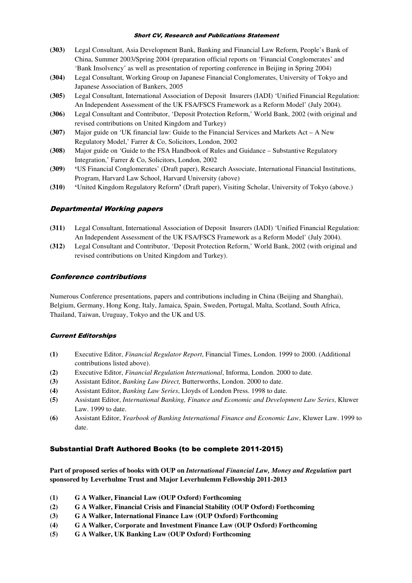- **(303)** Legal Consultant, Asia Development Bank, Banking and Financial Law Reform, People's Bank of China, Summer 2003/Spring 2004 (preparation official reports on 'Financial Conglomerates' and 'Bank Insolvency' as well as presentation of reporting conference in Beijing in Spring 2004)
- **(304)** Legal Consultant, Working Group on Japanese Financial Conglomerates, University of Tokyo and Japanese Association of Bankers, 2005
- **(305)** Legal Consultant, International Association of Deposit Insurers (IADI) 'Unified Financial Regulation: An Independent Assessment of the UK FSA/FSCS Framework as a Reform Model' (July 2004).
- **(306)** Legal Consultant and Contributor, 'Deposit Protection Reform,' World Bank, 2002 (with original and revised contributions on United Kingdom and Turkey)
- **(307)** Major guide on 'UK financial law: Guide to the Financial Services and Markets Act A New Regulatory Model,' Farrer & Co, Solicitors, London, 2002
- **(308)** Major guide on 'Guide to the FSA Handbook of Rules and Guidance Substantive Regulatory Integration,' Farrer & Co, Solicitors, London, 2002
- **(309) '**US Financial Conglomerates' (Draft paper), Research Associate, International Financial Institutions, Program, Harvard Law School, Harvard University (above)
- **(310) '**United Kingdom Regulatory Reform**'** (Draft paper), Visiting Scholar, University of Tokyo (above.)

### Departmental Working papers

- **(311)** Legal Consultant, International Association of Deposit Insurers (IADI) 'Unified Financial Regulation: An Independent Assessment of the UK FSA/FSCS Framework as a Reform Model' (July 2004).
- **(312)** Legal Consultant and Contributor, 'Deposit Protection Reform,' World Bank, 2002 (with original and revised contributions on United Kingdom and Turkey).

#### Conference contributions

Numerous Conference presentations, papers and contributions including in China (Beijing and Shanghai), Belgium, Germany, Hong Kong, Italy, Jamaica, Spain, Sweden, Portugal, Malta, Scotland, South Africa, Thailand, Taiwan, Uruguay, Tokyo and the UK and US.

#### Current Editorships

- **(1)** Executive Editor, *Financial Regulator Report*, Financial Times, London. 1999 to 2000. (Additional contributions listed above).
- **(2)** Executive Editor, *Financial Regulation International*, Informa, London. 2000 to date.
- **(3)** Assistant Editor, *Banking Law Direct,* Butterworths, London. 2000 to date.
- **(4)** Assistant Editor, *Banking Law Series*, Lloyds of London Press. 1998 to date.
- **(5)** Assistant Editor, *International Banking, Finance and Economic and Development Law Series*, Kluwer Law. 1999 to date.
- **(6)** Assistant Editor, *Yearbook of Banking International Finance and Economic Law*, Kluwer Law. 1999 to date.

#### Substantial Draft Authored Books (to be complete 2011-2015)

**Part of proposed series of books with OUP on** *International Financial Law, Money and Regulation* **part sponsored by Leverhulme Trust and Major Leverhulemm Fellowship 2011-2013** 

- **(1) G A Walker, Financial Law (OUP Oxford) Forthcoming**
- **(2) G A Walker, Financial Crisis and Financial Stability (OUP Oxford) Forthcoming**
- **(3) G A Walker, International Finance Law (OUP Oxford) Forthcoming**
- **(4) G A Walker, Corporate and Investment Finance Law (OUP Oxford) Forthcoming**
- **(5) G A Walker, UK Banking Law (OUP Oxford) Forthcoming**